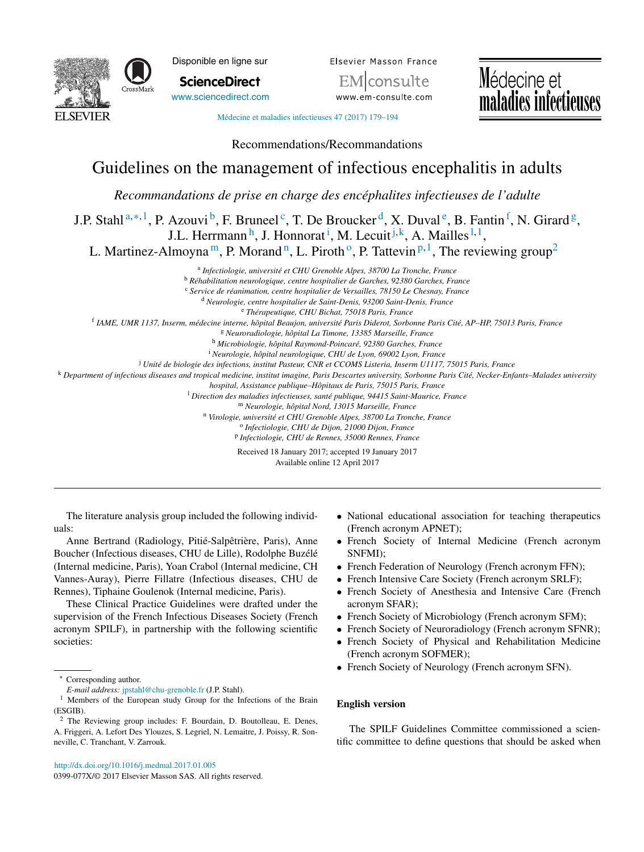



**ScienceDirect** [www.sciencedirect.com](http://www.sciencedirect.com/science/journal/0399077X) Elsevier Masson France isulte www.em-consulte.com



Médecine et maladies [infectieuses](dx.doi.org/10.1016/j.medmal.2017.01.005) 47 (2017) 179–194

Recommendations/Recommandations

# Guidelines on the management of infectious encephalitis in adults

*Recommandations de prise en charge des encéphalites infectieuses de l'adulte*

J.P. Stahl<sup>a,\*,1</sup>, P. Azouvi<sup>b</sup>, F. Bruneel<sup>c</sup>, T. De Broucker<sup>d</sup>, X. Duval<sup>e</sup>, B. Fantin<sup>f</sup>, N. Girard<sup>g</sup>, J.L. Herrmann<sup>h</sup>, J. Honnorat<sup>i</sup>, M. Lecuit<sup>j,k</sup>, A. Mailles<sup>1,1</sup>,

L. Martinez-Almoyna<sup>m</sup>, P. Morand<sup>n</sup>, L. Piroth<sup>o</sup>, P. Tattevin <sup>p, 1</sup>, The reviewing group<sup>2</sup>

<sup>a</sup> *Infectiologie, université et CHU Grenoble Alpes, 38700 La Tronche, France* <sup>b</sup> *Réhabilitation neurologique, centre hospitalier de Garches, 92380 Garches, France*

<sup>c</sup> *Service de réanimation, centre hospitalier de Versailles, 78150 Le Chesnay, France*

<sup>d</sup> *Neurologie, centre hospitalier de Saint-Denis, 93200 Saint-Denis, France*

<sup>e</sup> *Thérapeutique, CHU Bichat, 75018 Paris, France*

f IAME, UMR 1137, Inserm, médecine interne, hôpital Beaujon, université Paris Diderot, Sorbonne Paris Cité, AP-HP, 75013 Paris, France

<sup>g</sup> *Neuroradiologie, hôpital La Timone, 13385 Marseille, France*

<sup>h</sup> *Microbiologie, hôpital Raymond-Poincaré, 92380 Garches, France*

<sup>i</sup> *Neurologie, hôpital neurologique, CHU de Lyon, 69002 Lyon, France*

<sup>j</sup> *Unité de biologie des infections, institut Pasteur, CNR et CCOMS Listeria, Inserm U1117, 75015 Paris, France*

k Department of infectious diseases and tropical medicine, institut imagine, Paris Descartes university, Sorbonne Paris Cité, Necker-Enfants-Malades university

*hospital, Assistance publique–Hôpitaux de Paris, 75015 Paris, France*

<sup>l</sup> *Direction des maladies infectieuses, santé publique, 94415 Saint-Maurice, France*

<sup>m</sup> *Neurologie, hôpital Nord, 13015 Marseille, France*

<sup>n</sup> *Virologie, université et CHU Grenoble Alpes, 38700 La Tronche, France* <sup>o</sup> *Infectiologie, CHU de Dijon, 21000 Dijon, France*

<sup>p</sup> *Infectiologie, CHU de Rennes, 35000 Rennes, France*

Received 18 January 2017; accepted 19 January 2017 Available online 12 April 2017

The literature analysis group included the following individuals:

Anne Bertrand (Radiology, Pitié-Salpêtrière, Paris), Anne Boucher (Infectious diseases, CHU de Lille), Rodolphe Buzélé (Internal medicine, Paris), Yoan Crabol (Internal medicine, CH Vannes-Auray), Pierre Fillatre (Infectious diseases, CHU de Rennes), Tiphaine Goulenok (Internal medicine, Paris).

These Clinical Practice Guidelines were drafted under the supervision of the French Infectious Diseases Society (French acronym SPILF), in partnership with the following scientific societies:

• National educational association for teaching therapeutics (French acronym APNET);

- French Society of Internal Medicine (French acronym SNFMI);
- French Federation of Neurology (French acronym FFN);
- French Intensive Care Society (French acronym SRLF);
- French Society of Anesthesia and Intensive Care (French acronym SFAR);
- French Society of Microbiology (French acronym SFM);
- French Society of Neuroradiology (French acronym SFNR);
- French Society of Physical and Rehabilitation Medicine (French acronym SOFMER);
- French Society of Neurology (French acronym SFN).

### **English version**

The SPILF Guidelines Committee commissioned a scientific committee to define questions that should be asked when

Corresponding author.

*E-mail address:* [jpstahl@chu-grenoble.fr](mailto:jpstahl@chu-grenoble.fr) (J.P. Stahl).

<sup>&</sup>lt;sup>1</sup> Members of the European study Group for the Infections of the Brain (ESGIB).

 $2$  The Reviewing group includes: F. Bourdain, D. Boutolleau, E. Denes, A. Friggeri, A. Lefort Des Ylouzes, S. Legriel, N. Lemaitre, J. Poissy, R. Sonneville, C. Tranchant, V. Zarrouk.

<sup>0399-077</sup>X/© 2017 Elsevier Masson SAS. All rights reserved.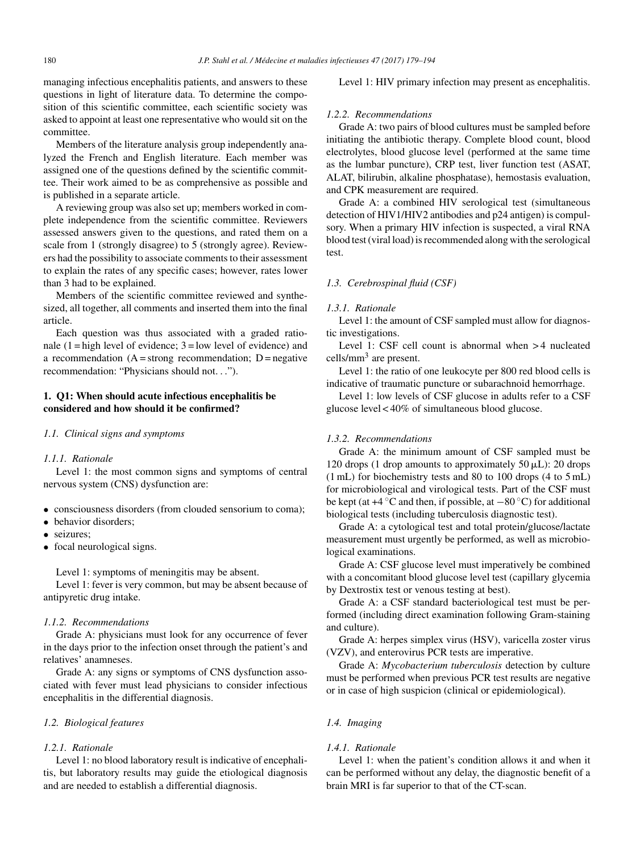managing infectious encephalitis patients, and answers to these questions in light of literature data. To determine the composition of this scientific committee, each scientific society was asked to appoint at least one representative who would sit on the committee.

Members of the literature analysis group independently analyzed the French and English literature. Each member was assigned one of the questions defined by the scientific committee. Their work aimed to be as comprehensive as possible and is published in a separate article.

A reviewing group was also set up; members worked in complete independence from the scientific committee. Reviewers assessed answers given to the questions, and rated them on a scale from 1 (strongly disagree) to 5 (strongly agree). Reviewers had the possibility to associate comments to their assessment to explain the rates of any specific cases; however, rates lower than 3 had to be explained.

Members of the scientific committee reviewed and synthesized, all together, all comments and inserted them into the final article.

Each question was thus associated with a graded rationale  $(1 = high level of evidence; 3 = low level of evidence)$  and a recommendation  $(A = strong recommendation; D = negative$ recommendation: "Physicians should not. . .").

### **1. Q1: When should acute infectious encephalitis be considered and how should it be confirmed?**

### *1.1. Clinical signs and symptoms*

### *1.1.1. Rationale*

Level 1: the most common signs and symptoms of central nervous system (CNS) dysfunction are:

- consciousness disorders (from clouded sensorium to coma);
- behavior disorders;
- seizures:
- focal neurological signs.

Level 1: symptoms of meningitis may be absent.

Level 1: fever is very common, but may be absent because of antipyretic drug intake.

#### *1.1.2. Recommendations*

Grade A: physicians must look for any occurrence of fever in the days prior to the infection onset through the patient's and relatives' anamneses.

Grade A: any signs or symptoms of CNS dysfunction associated with fever must lead physicians to consider infectious encephalitis in the differential diagnosis.

#### *1.2. Biological features*

#### *1.2.1. Rationale*

Level 1: no blood laboratory result is indicative of encephalitis, but laboratory results may guide the etiological diagnosis and are needed to establish a differential diagnosis.

Level 1: HIV primary infection may present as encephalitis.

#### *1.2.2. Recommendations*

Grade A: two pairs of blood cultures must be sampled before initiating the antibiotic therapy. Complete blood count, blood electrolytes, blood glucose level (performed at the same time as the lumbar puncture), CRP test, liver function test (ASAT, ALAT, bilirubin, alkaline phosphatase), hemostasis evaluation, and CPK measurement are required.

Grade A: a combined HIV serological test (simultaneous detection of HIV1/HIV2 antibodies and p24 antigen) is compulsory. When a primary HIV infection is suspected, a viral RNA blood test (viral load) is recommended along with the serological test.

#### *1.3. Cerebrospinal fluid (CSF)*

#### *1.3.1. Rationale*

Level 1: the amount of CSF sampled must allow for diagnostic investigations.

Level 1: CSF cell count is abnormal when > 4 nucleated cells/mm3 are present.

Level 1: the ratio of one leukocyte per 800 red blood cells is indicative of traumatic puncture or subarachnoid hemorrhage.

Level 1: low levels of CSF glucose in adults refer to a CSF glucose level < 40% of simultaneous blood glucose.

### *1.3.2. Recommendations*

Grade A: the minimum amount of CSF sampled must be 120 drops (1 drop amounts to approximately  $50 \mu L$ ): 20 drops (1 mL) for biochemistry tests and 80 to 100 drops (4 to 5 mL) for microbiological and virological tests. Part of the CSF must be kept (at  $+4\degree C$  and then, if possible, at  $-80\degree C$ ) for additional biological tests (including tuberculosis diagnostic test).

Grade A: a cytological test and total protein/glucose/lactate measurement must urgently be performed, as well as microbiological examinations.

Grade A: CSF glucose level must imperatively be combined with a concomitant blood glucose level test (capillary glycemia by Dextrostix test or venous testing at best).

Grade A: a CSF standard bacteriological test must be performed (including direct examination following Gram-staining and culture).

Grade A: herpes simplex virus (HSV), varicella zoster virus (VZV), and enterovirus PCR tests are imperative.

Grade A: *Mycobacterium tuberculosis* detection by culture must be performed when previous PCR test results are negative or in case of high suspicion (clinical or epidemiological).

### *1.4. Imaging*

#### *1.4.1. Rationale*

Level 1: when the patient's condition allows it and when it can be performed without any delay, the diagnostic benefit of a brain MRI is far superior to that of the CT-scan.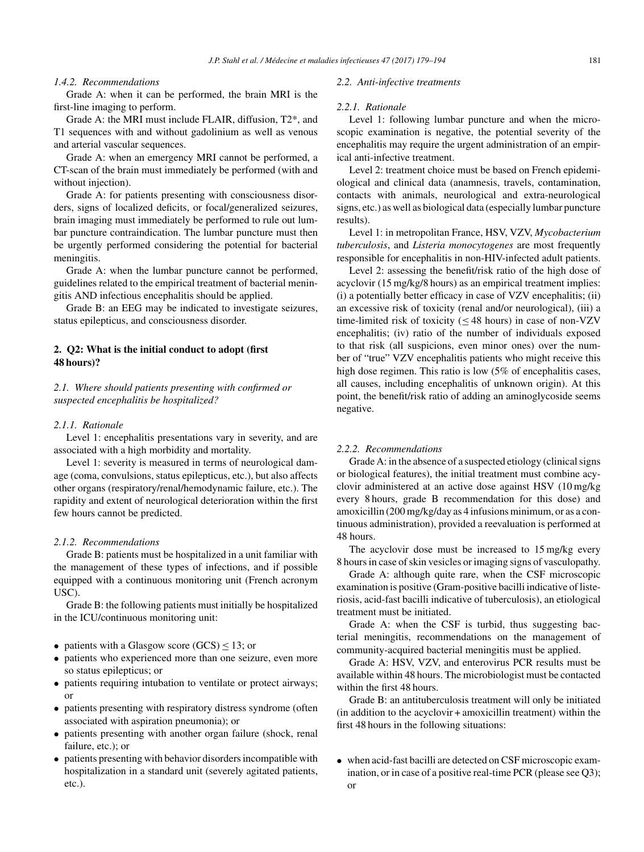### *1.4.2. Recommendations*

Grade A: when it can be performed, the brain MRI is the first-line imaging to perform.

Grade A: the MRI must include FLAIR, diffusion, T2\*, and T1 sequences with and without gadolinium as well as venous and arterial vascular sequences.

Grade A: when an emergency MRI cannot be performed, a CT-scan of the brain must immediately be performed (with and without injection).

Grade A: for patients presenting with consciousness disorders, signs of localized deficits, or focal/generalized seizures, brain imaging must immediately be performed to rule out lumbar puncture contraindication. The lumbar puncture must then be urgently performed considering the potential for bacterial meningitis.

Grade A: when the lumbar puncture cannot be performed, guidelines related to the empirical treatment of bacterial meningitis AND infectious encephalitis should be applied.

Grade B: an EEG may be indicated to investigate seizures, status epilepticus, and consciousness disorder.

### **2. Q2: What is the initial conduct to adopt (first 48 hours)?**

*2.1. Where should patients presenting with confirmed or suspected encephalitis be hospitalized?*

#### *2.1.1. Rationale*

Level 1: encephalitis presentations vary in severity, and are associated with a high morbidity and mortality.

Level 1: severity is measured in terms of neurological damage (coma, convulsions, status epilepticus, etc.), but also affects other organs (respiratory/renal/hemodynamic failure, etc.). The rapidity and extent of neurological deterioration within the first few hours cannot be predicted.

#### *2.1.2. Recommendations*

Grade B: patients must be hospitalized in a unit familiar with the management of these types of infections, and if possible equipped with a continuous monitoring unit (French acronym USC).

Grade B: the following patients must initially be hospitalized in the ICU/continuous monitoring unit:

- patients with a Glasgow score  $(GCS) \le 13$ ; or
- patients who experienced more than one seizure, even more so status epilepticus; or
- patients requiring intubation to ventilate or protect airways; or
- patients presenting with respiratory distress syndrome (often associated with aspiration pneumonia); or
- patients presenting with another organ failure (shock, renal failure, etc.); or
- patients presenting with behavior disorders incompatible with hospitalization in a standard unit (severely agitated patients, etc.).

#### *2.2. Anti-infective treatments*

#### *2.2.1. Rationale*

Level 1: following lumbar puncture and when the microscopic examination is negative, the potential severity of the encephalitis may require the urgent administration of an empirical anti-infective treatment.

Level 2: treatment choice must be based on French epidemiological and clinical data (anamnesis, travels, contamination, contacts with animals, neurological and extra-neurological signs, etc.) as well as biological data (especially lumbar puncture results).

Level 1: in metropolitan France, HSV, VZV, *Mycobacterium tuberculosis*, and *Listeria monocytogenes* are most frequently responsible for encephalitis in non-HIV-infected adult patients.

Level 2: assessing the benefit/risk ratio of the high dose of acyclovir (15 mg/kg/8 hours) as an empirical treatment implies: (i) a potentially better efficacy in case of VZV encephalitis; (ii) an excessive risk of toxicity (renal and/or neurological), (iii) a time-limited risk of toxicity (≤ 48 hours) in case of non-VZV encephalitis; (iv) ratio of the number of individuals exposed to that risk (all suspicions, even minor ones) over the number of "true" VZV encephalitis patients who might receive this high dose regimen. This ratio is low (5% of encephalitis cases, all causes, including encephalitis of unknown origin). At this point, the benefit/risk ratio of adding an aminoglycoside seems negative.

### *2.2.2. Recommendations*

Grade A: in the absence of a suspected etiology (clinical signs) or biological features), the initial treatment must combine acyclovir administered at an active dose against HSV (10 mg/kg every 8 hours, grade B recommendation for this dose) and amoxicillin (200 mg/kg/day as 4 infusions minimum, or as a continuous administration), provided a reevaluation is performed at 48 hours.

The acyclovir dose must be increased to 15 mg/kg every 8 hours in case of skin vesicles or imaging signs of vasculopathy.

Grade A: although quite rare, when the CSF microscopic examination is positive (Gram-positive bacilli indicative of listeriosis, acid-fast bacilli indicative of tuberculosis), an etiological treatment must be initiated.

Grade A: when the CSF is turbid, thus suggesting bacterial meningitis, recommendations on the management of community-acquired bacterial meningitis must be applied.

Grade A: HSV, VZV, and enterovirus PCR results must be available within 48 hours. The microbiologist must be contacted within the first 48 hours.

Grade B: an antituberculosis treatment will only be initiated (in addition to the acyclovir + amoxicillin treatment) within the first 48 hours in the following situations:

• when acid-fast bacilli are detected on CSF microscopic examination, or in case of a positive real-time PCR (please see Q3); or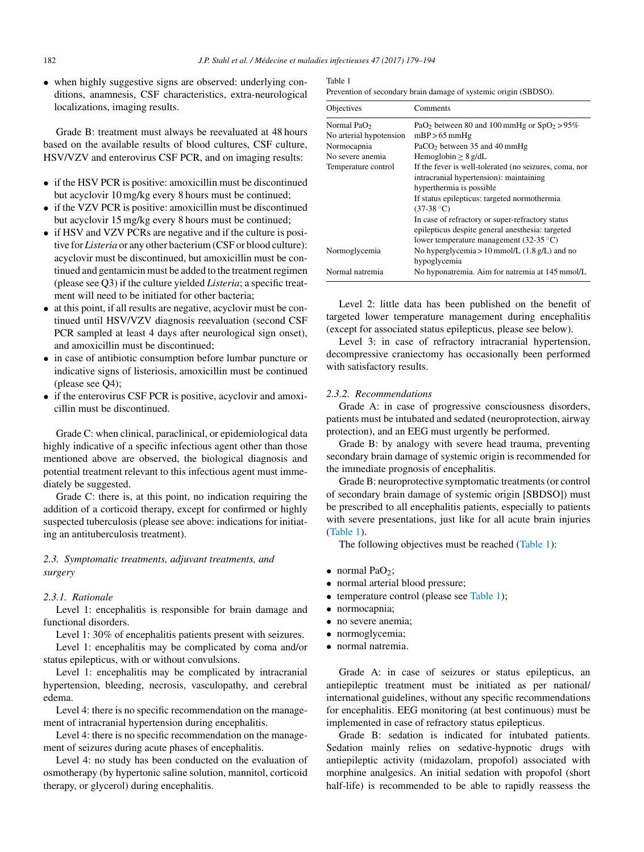• when highly suggestive signs are observed: underlying conditions, anamnesis, CSF characteristics, extra-neurological localizations, imaging results.

Grade B: treatment must always be reevaluated at 48 hours based on the available results of blood cultures, CSF culture, HSV/VZV and enterovirus CSF PCR, and on imaging results:

- if the HSV PCR is positive: amoxicillin must be discontinued but acyclovir 10 mg/kg every 8 hours must be continued;
- if the VZV PCR is positive: amoxicillin must be discontinued but acyclovir 15 mg/kg every 8 hours must be continued;
- if HSV and VZV PCRs are negative and if the culture is positive for *Listeria* or any other bacterium(CSF or blood culture): acyclovir must be discontinued, but amoxicillin must be continued and gentamicin must be added to the treatment regimen (please see Q3) if the culture yielded *Listeria*; a specific treatment will need to be initiated for other bacteria;
- at this point, if all results are negative, acyclovir must be continued until HSV/VZV diagnosis reevaluation (second CSF PCR sampled at least 4 days after neurological sign onset), and amoxicillin must be discontinued;
- in case of antibiotic consumption before lumbar puncture or indicative signs of listeriosis, amoxicillin must be continued (please see Q4);
- if the enterovirus CSF PCR is positive, acyclovir and amoxicillin must be discontinued.

Grade C: when clinical, paraclinical, or epidemiological data highly indicative of a specific infectious agent other than those mentioned above are observed, the biological diagnosis and potential treatment relevant to this infectious agent must immediately be suggested.

Grade C: there is, at this point, no indication requiring the addition of a corticoid therapy, except for confirmed or highly suspected tuberculosis (please see above: indications for initiating an antituberculosis treatment).

### *2.3. Symptomatic treatments, adjuvant treatments, and surgery*

#### *2.3.1. Rationale*

Level 1: encephalitis is responsible for brain damage and functional disorders.

Level 1: 30% of encephalitis patients present with seizures.

Level 1: encephalitis may be complicated by coma and/or status epilepticus, with or without convulsions.

Level 1: encephalitis may be complicated by intracranial hypertension, bleeding, necrosis, vasculopathy, and cerebral edema.

Level 4: there is no specific recommendation on the management of intracranial hypertension during encephalitis.

Level 4: there is no specific recommendation on the management of seizures during acute phases of encephalitis.

Level 4: no study has been conducted on the evaluation of osmotherapy (by hypertonic saline solution, mannitol, corticoid therapy, or glycerol) during encephalitis.

Table 1 Prevention of secondary brain damage of systemic origin (SBDSO).

| Objectives              | Comments                                                                |
|-------------------------|-------------------------------------------------------------------------|
| Normal Pa $O2$          | PaO <sub>2</sub> between 80 and 100 mmHg or $SpO2 > 95%$                |
| No arterial hypotension | $mBP > 65$ mmHg                                                         |
| Normocapnia             | PaCO <sub>2</sub> between $35$ and $40$ mmHg                            |
| No severe anemia        | Hemoglobin $> 8$ g/dL                                                   |
| Temperature control     | If the fever is well-tolerated (no seizures, coma, nor                  |
|                         | intracranial hypertension): maintaining                                 |
|                         | hyperthermia is possible.                                               |
|                         | If status epilepticus: targeted normothermia                            |
|                         | $(37-38 °C)$                                                            |
|                         | In case of refractory or super-refractory status                        |
|                         | epilepticus despite general anesthesia: targeted                        |
|                         | lower temperature management (32-35 $^{\circ}$ C)                       |
| Normoglycemia           | No hyperglycemia > 10 mmol/L $(1.8 \text{ g/L})$ and no<br>hypoglycemia |
| Normal natremia         | No hyponatremia. Aim for natremia at 145 mmol/L                         |

Level 2: little data has been published on the benefit of targeted lower temperature management during encephalitis (except for associated status epilepticus, please see below).

Level 3: in case of refractory intracranial hypertension, decompressive craniectomy has occasionally been performed with satisfactory results.

#### *2.3.2. Recommendations*

Grade A: in case of progressive consciousness disorders, patients must be intubated and sedated (neuroprotection, airway protection), and an EEG must urgently be performed.

Grade B: by analogy with severe head trauma, preventing secondary brain damage of systemic origin is recommended for the immediate prognosis of encephalitis.

Grade B: neuroprotective symptomatic treatments(or control of secondary brain damage of systemic origin [SBDSO]) must be prescribed to all encephalitis patients, especially to patients with severe presentations, just like for all acute brain injuries (Table 1).

The following objectives must be reached (Table 1):

- normal PaO<sub>2</sub>;
- normal arterial blood pressure;
- temperature control (please see Table 1);
- normocapnia;
- no severe anemia;
- normoglycemia;
- normal natremia.

Grade A: in case of seizures or status epilepticus, an antiepileptic treatment must be initiated as per national/ international guidelines, without any specific recommendations for encephalitis. EEG monitoring (at best continuous) must be implemented in case of refractory status epilepticus.

Grade B: sedation is indicated for intubated patients. Sedation mainly relies on sedative-hypnotic drugs with antiepileptic activity (midazolam, propofol) associated with morphine analgesics. An initial sedation with propofol (short half-life) is recommended to be able to rapidly reassess the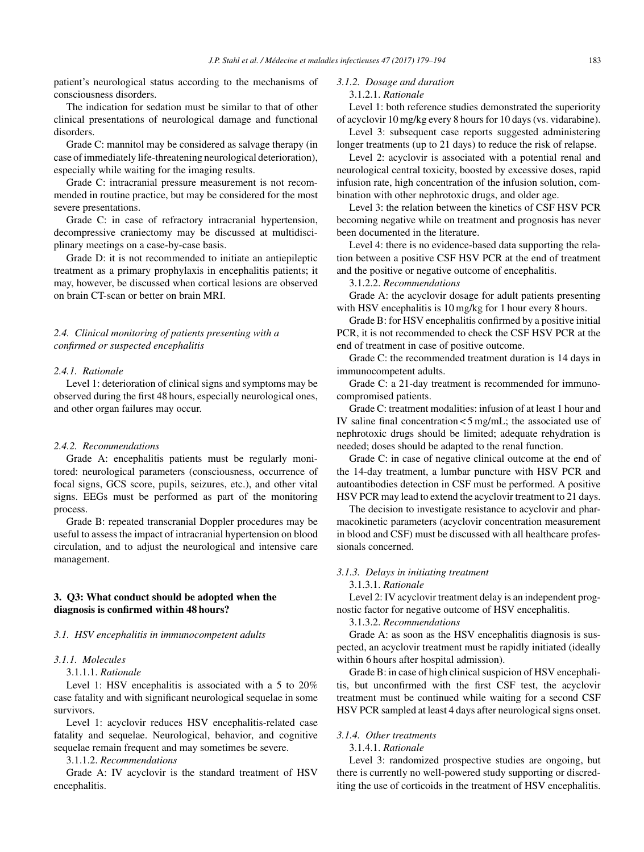patient's neurological status according to the mechanisms of consciousness disorders.

The indication for sedation must be similar to that of other clinical presentations of neurological damage and functional disorders.

Grade C: mannitol may be considered as salvage therapy (in case ofimmediately life-threatening neurological deterioration), especially while waiting for the imaging results.

Grade C: intracranial pressure measurement is not recommended in routine practice, but may be considered for the most severe presentations.

Grade C: in case of refractory intracranial hypertension, decompressive craniectomy may be discussed at multidisciplinary meetings on a case-by-case basis.

Grade D: it is not recommended to initiate an antiepileptic treatment as a primary prophylaxis in encephalitis patients; it may, however, be discussed when cortical lesions are observed on brain CT-scan or better on brain MRI.

*2.4. Clinical monitoring of patients presenting with a confirmed or suspected encephalitis*

### *2.4.1. Rationale*

Level 1: deterioration of clinical signs and symptoms may be observed during the first 48 hours, especially neurological ones, and other organ failures may occur.

### *2.4.2. Recommendations*

Grade A: encephalitis patients must be regularly monitored: neurological parameters (consciousness, occurrence of focal signs, GCS score, pupils, seizures, etc.), and other vital signs. EEGs must be performed as part of the monitoring process.

Grade B: repeated transcranial Doppler procedures may be useful to assess the impact of intracranial hypertension on blood circulation, and to adjust the neurological and intensive care management.

### **3. Q3: What conduct should be adopted when the diagnosis is confirmed within 48 hours?**

#### *3.1. HSV encephalitis in immunocompetent adults*

### *3.1.1. Molecules*

3.1.1.1. *Rationale*

Level 1: HSV encephalitis is associated with a 5 to 20% case fatality and with significant neurological sequelae in some survivors.

Level 1: acyclovir reduces HSV encephalitis-related case fatality and sequelae. Neurological, behavior, and cognitive sequelae remain frequent and may sometimes be severe.

### 3.1.1.2. *Recommendations*

Grade A: IV acyclovir is the standard treatment of HSV encephalitis.

### *3.1.2. Dosage and duration*

#### 3.1.2.1. *Rationale*

Level 1: both reference studies demonstrated the superiority of acyclovir 10 mg/kg every 8 hoursfor 10 days(vs. vidarabine).

Level 3: subsequent case reports suggested administering longer treatments (up to 21 days) to reduce the risk of relapse.

Level 2: acyclovir is associated with a potential renal and neurological central toxicity, boosted by excessive doses, rapid infusion rate, high concentration of the infusion solution, combination with other nephrotoxic drugs, and older age.

Level 3: the relation between the kinetics of CSF HSV PCR becoming negative while on treatment and prognosis has never been documented in the literature.

Level 4: there is no evidence-based data supporting the relation between a positive CSF HSV PCR at the end of treatment and the positive or negative outcome of encephalitis.

3.1.2.2. *Recommendations*

Grade A: the acyclovir dosage for adult patients presenting with HSV encephalitis is 10 mg/kg for 1 hour every 8 hours.

Grade B: for HSV encephalitis confirmed by a positive initial PCR, it is not recommended to check the CSF HSV PCR at the end of treatment in case of positive outcome.

Grade C: the recommended treatment duration is 14 days in immunocompetent adults.

Grade C: a 21-day treatment is recommended for immunocompromised patients.

Grade C: treatment modalities: infusion of at least 1 hour and IV saline final concentration < 5 mg/mL; the associated use of nephrotoxic drugs should be limited; adequate rehydration is needed; doses should be adapted to the renal function.

Grade C: in case of negative clinical outcome at the end of the 14-day treatment, a lumbar puncture with HSV PCR and autoantibodies detection in CSF must be performed. A positive HSV PCR may lead to extend the acyclovir treatment to 21 days.

The decision to investigate resistance to acyclovir and pharmacokinetic parameters (acyclovir concentration measurement in blood and CSF) must be discussed with all healthcare professionals concerned.

#### *3.1.3. Delays in initiating treatment*

3.1.3.1. *Rationale*

Level 2: IV acyclovir treatment delay is an independent prognostic factor for negative outcome of HSV encephalitis.

3.1.3.2. *Recommendations*

Grade A: as soon as the HSV encephalitis diagnosis is suspected, an acyclovir treatment must be rapidly initiated (ideally within 6 hours after hospital admission).

Grade B: in case of high clinical suspicion of HSV encephalitis, but unconfirmed with the first CSF test, the acyclovir treatment must be continued while waiting for a second CSF HSV PCR sampled at least 4 days after neurological signs onset.

#### *3.1.4. Other treatments*

#### 3.1.4.1. *Rationale*

Level 3: randomized prospective studies are ongoing, but there is currently no well-powered study supporting or discrediting the use of corticoids in the treatment of HSV encephalitis.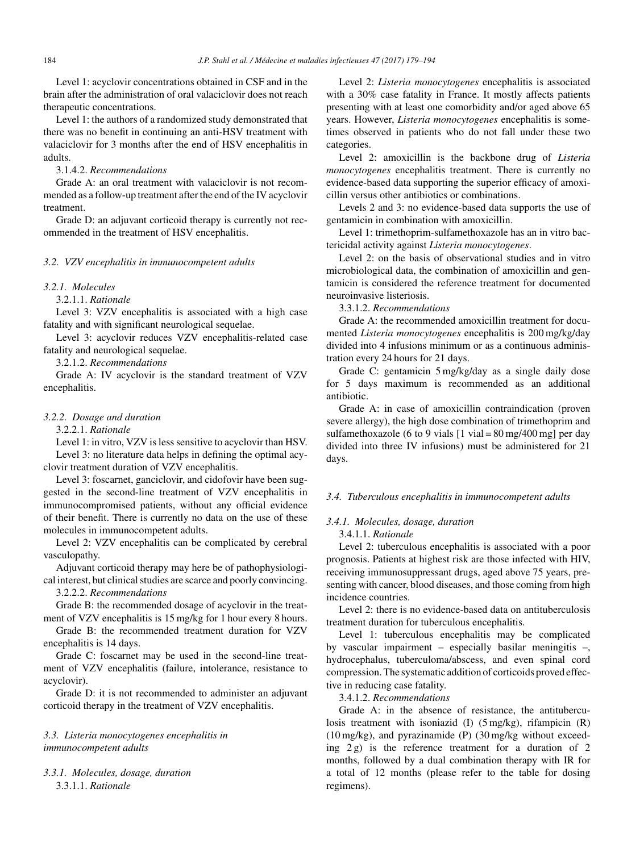Level 1: acyclovir concentrations obtained in CSF and in the brain after the administration of oral valaciclovir does not reach therapeutic concentrations.

Level 1: the authors of a randomized study demonstrated that there was no benefit in continuing an anti-HSV treatment with valaciclovir for 3 months after the end of HSV encephalitis in adults.

3.1.4.2. *Recommendations*

Grade A: an oral treatment with valaciclovir is not recommended as a follow-up treatment after the end of the IV acyclovir treatment.

Grade D: an adjuvant corticoid therapy is currently not recommended in the treatment of HSV encephalitis.

#### *3.2. VZV encephalitis in immunocompetent adults*

### *3.2.1. Molecules*

### 3.2.1.1. *Rationale*

Level 3: VZV encephalitis is associated with a high case fatality and with significant neurological sequelae.

Level 3: acyclovir reduces VZV encephalitis-related case fatality and neurological sequelae.

3.2.1.2. *Recommendations*

Grade A: IV acyclovir is the standard treatment of VZV encephalitis.

#### *3.2.2. Dosage and duration*

### 3.2.2.1. *Rationale*

Level 1: in vitro, VZV is less sensitive to acyclovir than HSV. Level 3: no literature data helps in defining the optimal acyclovir treatment duration of VZV encephalitis.

Level 3: foscarnet, ganciclovir, and cidofovir have been suggested in the second-line treatment of VZV encephalitis in immunocompromised patients, without any official evidence of their benefit. There is currently no data on the use of these molecules in immunocompetent adults.

Level 2: VZV encephalitis can be complicated by cerebral vasculopathy.

Adjuvant corticoid therapy may here be of pathophysiological interest, but clinical studies are scarce and poorly convincing.

3.2.2.2. *Recommendations*

Grade B: the recommended dosage of acyclovir in the treatment of VZV encephalitis is 15 mg/kg for 1 hour every 8 hours.

Grade B: the recommended treatment duration for VZV encephalitis is 14 days.

Grade C: foscarnet may be used in the second-line treatment of VZV encephalitis (failure, intolerance, resistance to acyclovir).

Grade D: it is not recommended to administer an adjuvant corticoid therapy in the treatment of VZV encephalitis.

## *3.3. Listeria monocytogenes encephalitis in immunocompetent adults*

*3.3.1. Molecules, dosage, duration* 3.3.1.1. *Rationale*

Level 2: *Listeria monocytogenes* encephalitis is associated with a 30% case fatality in France. It mostly affects patients presenting with at least one comorbidity and/or aged above 65 years. However, *Listeria monocytogenes* encephalitis is sometimes observed in patients who do not fall under these two categories.

Level 2: amoxicillin is the backbone drug of *Listeria monocytogenes* encephalitis treatment. There is currently no evidence-based data supporting the superior efficacy of amoxicillin versus other antibiotics or combinations.

Levels 2 and 3: no evidence-based data supports the use of gentamicin in combination with amoxicillin.

Level 1: trimethoprim-sulfamethoxazole has an in vitro bactericidal activity against *Listeria monocytogenes*.

Level 2: on the basis of observational studies and in vitro microbiological data, the combination of amoxicillin and gentamicin is considered the reference treatment for documented neuroinvasive listeriosis.

3.3.1.2. *Recommendations*

Grade A: the recommended amoxicillin treatment for documented *Listeria monocytogenes* encephalitis is 200 mg/kg/day divided into 4 infusions minimum or as a continuous administration every 24 hours for 21 days.

Grade C: gentamicin 5 mg/kg/day as a single daily dose for 5 days maximum is recommended as an additional antibiotic.

Grade A: in case of amoxicillin contraindication (proven severe allergy), the high dose combination of trimethoprim and sulfamethoxazole (6 to 9 vials  $[1 \text{ vial} = 80 \text{ mg}/400 \text{ mg}]$  per day divided into three IV infusions) must be administered for 21 days.

#### *3.4. Tuberculous encephalitis in immunocompetent adults*

### *3.4.1. Molecules, dosage, duration*

### 3.4.1.1. *Rationale*

Level 2: tuberculous encephalitis is associated with a poor prognosis. Patients at highest risk are those infected with HIV, receiving immunosuppressant drugs, aged above 75 years, presenting with cancer, blood diseases, and those coming from high incidence countries.

Level 2: there is no evidence-based data on antituberculosis treatment duration for tuberculous encephalitis.

Level 1: tuberculous encephalitis may be complicated by vascular impairment – especially basilar meningitis –, hydrocephalus, tuberculoma/abscess, and even spinal cord compression.The systematic addition of corticoids proved effective in reducing case fatality.

3.4.1.2. *Recommendations*

Grade A: in the absence of resistance, the antituberculosis treatment with isoniazid (I) (5 mg/kg), rifampicin (R) (10 mg/kg), and pyrazinamide (P) (30 mg/kg without exceeding 2 g) is the reference treatment for a duration of 2 months, followed by a dual combination therapy with IR for a total of 12 months (please refer to the table for dosing regimens).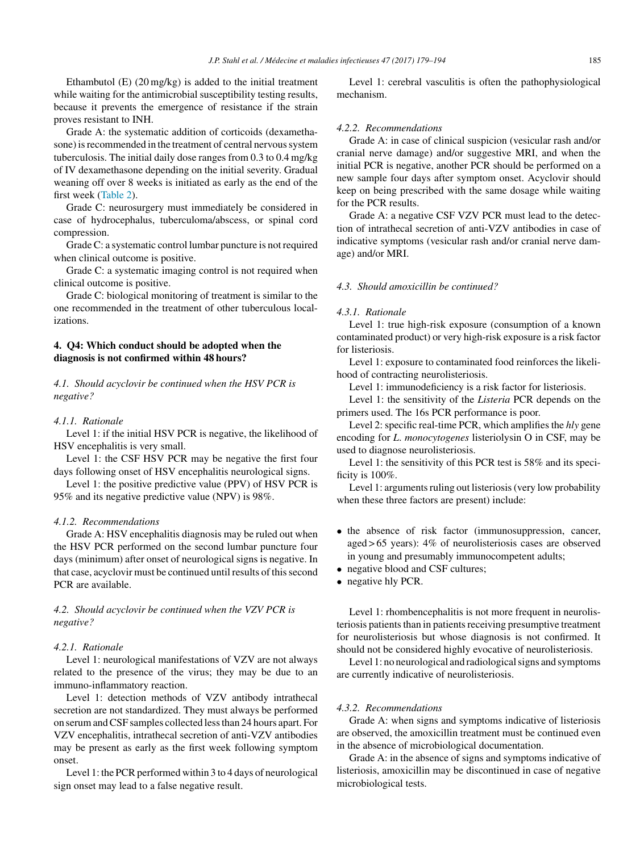Ethambutol (E) (20 mg/kg) is added to the initial treatment while waiting for the antimicrobial susceptibility testing results, because it prevents the emergence of resistance if the strain proves resistant to INH.

Grade A: the systematic addition of corticoids (dexamethasone) is recommended in the treatment of central nervous system tuberculosis. The initial daily dose ranges from 0.3 to 0.4 mg/kg of IV dexamethasone depending on the initial severity. Gradual weaning off over 8 weeks is initiated as early as the end of the first week [\(Table](#page-7-0) 2).

Grade C: neurosurgery must immediately be considered in case of hydrocephalus, tuberculoma/abscess, or spinal cord compression.

Grade C: a systematic control lumbar puncture is not required when clinical outcome is positive.

Grade C: a systematic imaging control is not required when clinical outcome is positive.

Grade C: biological monitoring of treatment is similar to the one recommended in the treatment of other tuberculous localizations.

### **4. Q4: Which conduct should be adopted when the diagnosis is not confirmed within 48 hours?**

*4.1. Should acyclovir be continued when the HSV PCR is negative?*

#### *4.1.1. Rationale*

Level 1: if the initial HSV PCR is negative, the likelihood of HSV encephalitis is very small.

Level 1: the CSF HSV PCR may be negative the first four days following onset of HSV encephalitis neurological signs.

Level 1: the positive predictive value (PPV) of HSV PCR is 95% and its negative predictive value (NPV) is 98%.

#### *4.1.2. Recommendations*

Grade A: HSV encephalitis diagnosis may be ruled out when the HSV PCR performed on the second lumbar puncture four days (minimum) after onset of neurological signs is negative. In that case, acyclovir must be continued until results of this second PCR are available.

### *4.2. Should acyclovir be continued when the VZV PCR is negative?*

#### *4.2.1. Rationale*

Level 1: neurological manifestations of VZV are not always related to the presence of the virus; they may be due to an immuno-inflammatory reaction.

Level 1: detection methods of VZV antibody intrathecal secretion are not standardized. They must always be performed on serumandCSF samples collected lessthan 24 hours apart. For VZV encephalitis, intrathecal secretion of anti-VZV antibodies may be present as early as the first week following symptom onset.

Level 1: the PCR performed within 3 to 4 days of neurological sign onset may lead to a false negative result.

Level 1: cerebral vasculitis is often the pathophysiological mechanism.

### *4.2.2. Recommendations*

Grade A: in case of clinical suspicion (vesicular rash and/or cranial nerve damage) and/or suggestive MRI, and when the initial PCR is negative, another PCR should be performed on a new sample four days after symptom onset. Acyclovir should keep on being prescribed with the same dosage while waiting for the PCR results.

Grade A: a negative CSF VZV PCR must lead to the detection of intrathecal secretion of anti-VZV antibodies in case of indicative symptoms (vesicular rash and/or cranial nerve damage) and/or MRI.

#### *4.3. Should amoxicillin be continued?*

#### *4.3.1. Rationale*

Level 1: true high-risk exposure (consumption of a known contaminated product) or very high-risk exposure is a risk factor for listeriosis.

Level 1: exposure to contaminated food reinforces the likelihood of contracting neurolisteriosis.

Level 1: immunodeficiency is a risk factor for listeriosis.

Level 1: the sensitivity of the *Listeria* PCR depends on the primers used. The 16s PCR performance is poor.

Level 2: specific real-time PCR, which amplifies the *hly* gene encoding for *L*. *monocytogenes* listeriolysin O in CSF, may be used to diagnose neurolisteriosis.

Level 1: the sensitivity of this PCR test is 58% and its specificity is 100%.

Level 1: arguments ruling out listeriosis (very low probability when these three factors are present) include:

- the absence of risk factor (immunosuppression, cancer, aged > 65 years): 4% of neurolisteriosis cases are observed in young and presumably immunocompetent adults;
- negative blood and CSF cultures;
- negative hly PCR.

Level 1: rhombencephalitis is not more frequent in neurolisteriosis patients than in patients receiving presumptive treatment for neurolisteriosis but whose diagnosis is not confirmed. It should not be considered highly evocative of neurolisteriosis.

Level 1: no neurological and radiological signs and symptoms are currently indicative of neurolisteriosis.

### *4.3.2. Recommendations*

Grade A: when signs and symptoms indicative of listeriosis are observed, the amoxicillin treatment must be continued even in the absence of microbiological documentation.

Grade A: in the absence of signs and symptoms indicative of listeriosis, amoxicillin may be discontinued in case of negative microbiological tests.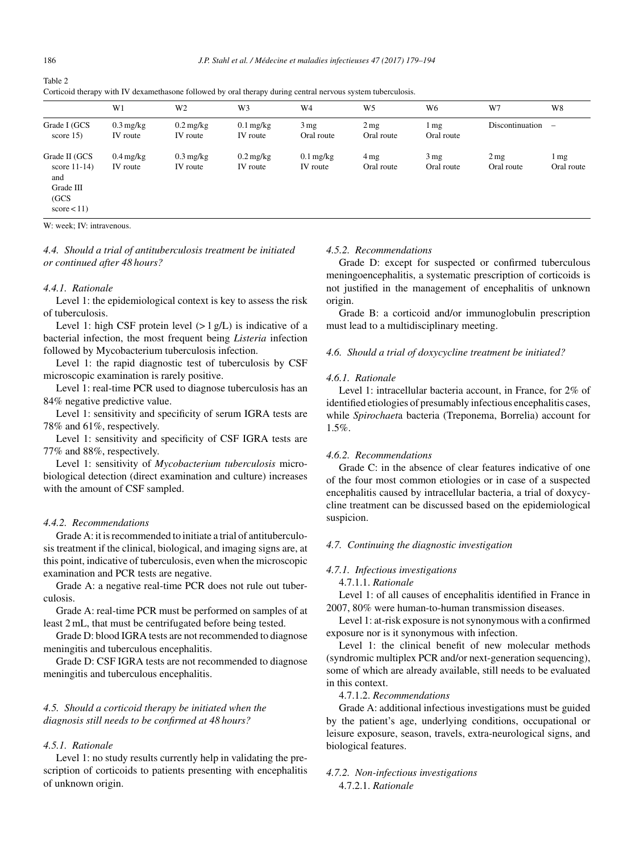<span id="page-7-0"></span>Table 2

|                                                                             | W <sub>1</sub>                     | W <sub>2</sub>                     | W3                                 | W4                                 | W <sub>5</sub>    | W6                 | W7                | W8                       |
|-----------------------------------------------------------------------------|------------------------------------|------------------------------------|------------------------------------|------------------------------------|-------------------|--------------------|-------------------|--------------------------|
| Grade I (GCS<br>score $15$ )                                                | $0.3 \text{ mg/kg}$<br>IV route    | $0.2 \,\mathrm{mg/kg}$<br>IV route | $0.1 \,\mathrm{mg/kg}$<br>IV route | 3mg<br>Oral route                  | 2mg<br>Oral route | 1 mg<br>Oral route | Discontinuation   | $\overline{\phantom{0}}$ |
| Grade II (GCS<br>score $11-14$ )<br>and<br>Grade III<br>(GCS)<br>score < 11 | $0.4 \,\mathrm{mg/kg}$<br>IV route | $0.3 \text{ mg/kg}$<br>IV route    | $0.2 \,\mathrm{mg/kg}$<br>IV route | $0.1 \,\mathrm{mg/kg}$<br>IV route | 4mg<br>Oral route | 3mg<br>Oral route  | 2mg<br>Oral route | 1 mg<br>Oral route       |

Corticoid therapy with IV dexamethasone followed by oral therapy during central nervous system tuberculosis.

W: week; IV: intravenous.

*4.4. Should a trial of antituberculosis treatment be initiated or continued after 48 hours?*

#### *4.4.1. Rationale*

Level 1: the epidemiological context is key to assess the risk of tuberculosis.

Level 1: high CSF protein level  $(> 1 g/L)$  is indicative of a bacterial infection, the most frequent being *Listeria* infection followed by Mycobacterium tuberculosis infection.

Level 1: the rapid diagnostic test of tuberculosis by CSF microscopic examination is rarely positive.

Level 1: real-time PCR used to diagnose tuberculosis has an 84% negative predictive value.

Level 1: sensitivity and specificity of serum IGRA tests are 78% and 61%, respectively.

Level 1: sensitivity and specificity of CSF IGRA tests are 77% and 88%, respectively.

Level 1: sensitivity of *Mycobacterium tuberculosis* microbiological detection (direct examination and culture) increases with the amount of CSF sampled.

### *4.4.2. Recommendations*

Grade A: it is recommended to initiate a trial of antituberculosis treatment if the clinical, biological, and imaging signs are, at this point, indicative of tuberculosis, even when the microscopic examination and PCR tests are negative.

Grade A: a negative real-time PCR does not rule out tuberculosis.

Grade A: real-time PCR must be performed on samples of at least 2 mL, that must be centrifugated before being tested.

Grade D: blood IGRA tests are not recommended to diagnose meningitis and tuberculous encephalitis.

Grade D: CSF IGRA tests are not recommended to diagnose meningitis and tuberculous encephalitis.

### *4.5. Should a corticoid therapy be initiated when the diagnosis still needs to be confirmed at 48 hours?*

### *4.5.1. Rationale*

Level 1: no study results currently help in validating the prescription of corticoids to patients presenting with encephalitis of unknown origin.

#### *4.5.2. Recommendations*

Grade D: except for suspected or confirmed tuberculous meningoencephalitis, a systematic prescription of corticoids is not justified in the management of encephalitis of unknown origin.

Grade B: a corticoid and/or immunoglobulin prescription must lead to a multidisciplinary meeting.

### *4.6. Should a trial of doxycycline treatment be initiated?*

#### *4.6.1. Rationale*

Level 1: intracellular bacteria account, in France, for 2% of identified etiologies of presumably infectious encephalitis cases, while *Spirochaet*a bacteria (Treponema, Borrelia) account for 1.5%.

#### *4.6.2. Recommendations*

Grade C: in the absence of clear features indicative of one of the four most common etiologies or in case of a suspected encephalitis caused by intracellular bacteria, a trial of doxycycline treatment can be discussed based on the epidemiological suspicion.

### *4.7. Continuing the diagnostic investigation*

### *4.7.1. Infectious investigations*

4.7.1.1. *Rationale*

Level 1: of all causes of encephalitis identified in France in 2007, 80% were human-to-human transmission diseases.

Level 1: at-risk exposure is not synonymous with a confirmed exposure nor is it synonymous with infection.

Level 1: the clinical benefit of new molecular methods (syndromic multiplex PCR and/or next-generation sequencing), some of which are already available, still needs to be evaluated in this context.

#### 4.7.1.2. *Recommendations*

Grade A: additional infectious investigations must be guided by the patient's age, underlying conditions, occupational or leisure exposure, season, travels, extra-neurological signs, and biological features.

### *4.7.2. Non-infectious investigations* 4.7.2.1. *Rationale*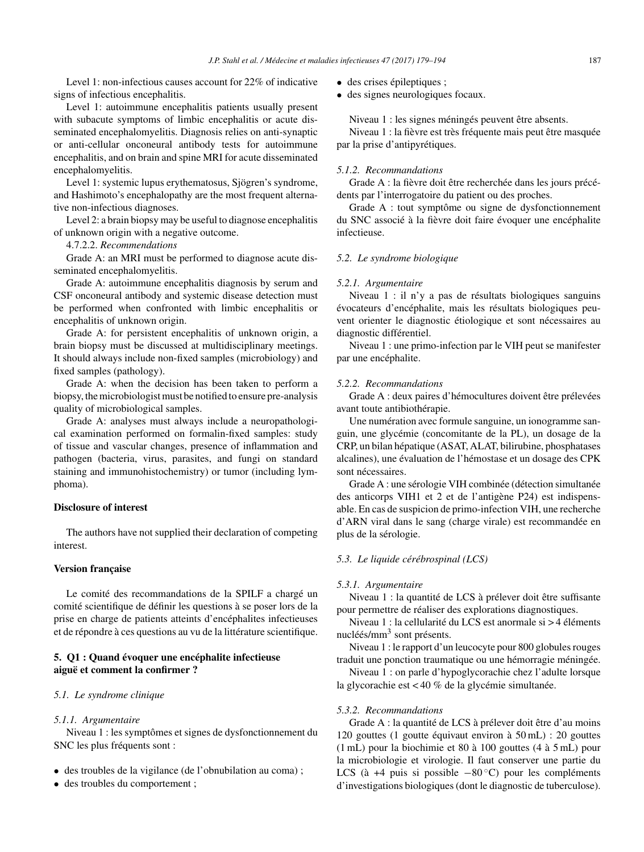Level 1: non-infectious causes account for 22% of indicative signs of infectious encephalitis.

Level 1: autoimmune encephalitis patients usually present with subacute symptoms of limbic encephalitis or acute disseminated encephalomyelitis. Diagnosis relies on anti-synaptic or anti-cellular onconeural antibody tests for autoimmune encephalitis, and on brain and spine MRI for acute disseminated encephalomyelitis.

Level 1: systemic lupus erythematosus, Sjögren's syndrome, and Hashimoto's encephalopathy are the most frequent alternative non-infectious diagnoses.

Level 2: a brain biopsy may be useful to diagnose encephalitis of unknown origin with a negative outcome.

4.7.2.2. *Recommendations*

Grade A: an MRI must be performed to diagnose acute disseminated encephalomyelitis.

Grade A: autoimmune encephalitis diagnosis by serum and CSF onconeural antibody and systemic disease detection must be performed when confronted with limbic encephalitis or encephalitis of unknown origin.

Grade A: for persistent encephalitis of unknown origin, a brain biopsy must be discussed at multidisciplinary meetings. It should always include non-fixed samples (microbiology) and fixed samples (pathology).

Grade A: when the decision has been taken to perform a biopsy, themicrobiologistmust be notified to ensure pre-analysis quality of microbiological samples.

Grade A: analyses must always include a neuropathological examination performed on formalin-fixed samples: study of tissue and vascular changes, presence of inflammation and pathogen (bacteria, virus, parasites, and fungi on standard staining and immunohistochemistry) or tumor (including lymphoma).

### **Disclosure of interest**

The authors have not supplied their declaration of competing interest.

### **Version** française

Le comité des recommandations de la SPILF a chargé un comité scientifique de définir les questions à se poser lors de la prise en charge de patients atteints d'encéphalites infectieuses et de répondre à ces questions au vu de la littérature scientifique.

### **5. Q1 : Quand évoquer une encéphalite infectieuse aiguë et comment la confirmer ?**

### *5.1. Le syndrome clinique*

### *5.1.1. Argumentaire*

Niveau 1 : les symptômes et signes de dysfonctionnement du SNC les plus fréquents sont :

- des troubles de la vigilance (de l'obnubilation au coma) ;
- des troubles du comportement ;
- des crises épileptiques ;
- des signes neurologiques focaux.

Niveau 1 : les signes méningés peuvent être absents.

Niveau 1 : la fièvre est très fréquente mais peut être masquée par la prise d'antipyrétiques.

#### *5.1.2. Recommandations*

Grade A : la fièvre doit être recherchée dans les jours précédents par l'interrogatoire du patient ou des proches.

Grade A : tout symptôme ou signe de dysfonctionnement du SNC associé à la fièvre doit faire évoquer une encéphalite infectieuse.

#### *5.2. Le syndrome biologique*

#### *5.2.1. Argumentaire*

Niveau 1 : il n'y a pas de résultats biologiques sanguins évocateurs d'encéphalite, mais les résultats biologiques peuvent orienter le diagnostic étiologique et sont nécessaires au diagnostic différentiel.

Niveau 1 : une primo-infection par le VIH peut se manifester par une encéphalite.

#### *5.2.2. Recommandations*

Grade A : deux paires d'hémocultures doivent être prélevées avant toute antibiothérapie.

Une numération avec formule sanguine, un ionogramme sanguin, une glycémie (concomitante de la PL), un dosage de la CRP, un bilan hépatique (ASAT, ALAT, bilirubine, phosphatases alcalines), une évaluation de l'hémostase et un dosage des CPK sont nécessaires.

Grade A : une sérologie VIH combinée (détection simultanée des anticorps VIH1 et 2 et de l'antigène P24) est indispensable. En cas de suspicion de primo-infection VIH, une recherche d'ARN viral dans le sang (charge virale) est recommandée en plus de la sérologie.

### *5.3. Le liquide cérébrospinal (LCS)*

#### *5.3.1. Argumentaire*

Niveau 1 : la quantité de LCS à prélever doit être suffisante pour permettre de réaliser des explorations diagnostiques.

Niveau 1 : la cellularité du LCS est anormale si > 4 éléments nucléés/mm<sup>3</sup> sont présents.

Niveau 1 : le rapport d'un leucocyte pour 800 globules rouges traduit une ponction traumatique ou une hémorragie méningée.

Niveau 1 : on parle d'hypoglycorachie chez l'adulte lorsque la glycorachie est < 40 % de la glycémie simultanée.

#### *5.3.2. Recommandations*

Grade A : la quantité de LCS à prélever doit être d'au moins 120 gouttes (1 goutte équivaut environ à 50 mL) : 20 gouttes (1 mL) pour la biochimie et 80 à 100 gouttes (4 à 5 mL) pour la microbiologie et virologie. Il faut conserver une partie du LCS (à +4 puis si possible  $-80^{\circ}$ C) pour les compléments d'investigations biologiques(dont le diagnostic de tuberculose).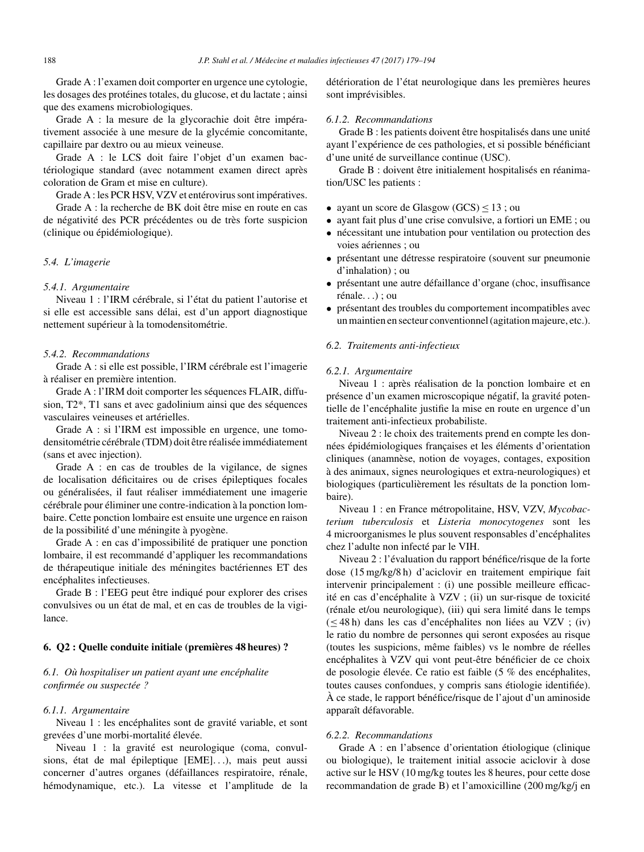Grade A : l'examen doit comporter en urgence une cytologie, les dosages des protéines totales, du glucose, et du lactate ; ainsi que des examens microbiologiques.

Grade A : la mesure de la glycorachie doit être impérativement associée à une mesure de la glycémie concomitante, capillaire par dextro ou au mieux veineuse.

Grade A : le LCS doit faire l'objet d'un examen bactériologique standard (avec notamment examen direct après coloration de Gram et mise en culture).

Grade A : les PCR HSV, VZV et entérovirus sont impératives.

Grade A : la recherche de BK doit être mise en route en cas de négativité des PCR précédentes ou de très forte suspicion (clinique ou épidémiologique).

### *5.4. L'imagerie*

#### *5.4.1. Argumentaire*

Niveau 1 : l'IRM cérébrale, si l'état du patient l'autorise et si elle est accessible sans délai, est d'un apport diagnostique nettement supérieur à la tomodensitométrie.

#### *5.4.2. Recommandations*

Grade A : si elle est possible, l'IRM cérébrale est l'imagerie à réaliser en première intention.

Grade A : l'IRM doit comporter les séquences FLAIR, diffusion, T2\*, T1 sans et avec gadolinium ainsi que des séquences vasculaires veineuses et artérielles.

Grade A : si l'IRM est impossible en urgence, une tomodensitométrie cérébrale (TDM) doit être réalisée immédiatement (sans et avec injection).

Grade A : en cas de troubles de la vigilance, de signes de localisation déficitaires ou de crises épileptiques focales ou généralisées, il faut réaliser immédiatement une imagerie cérébrale pour éliminer une contre-indication à la ponction lombaire. Cette ponction lombaire est ensuite une urgence en raison de la possibilité d'une méningite à pyogène.

Grade A : en cas d'impossibilité de pratiquer une ponction lombaire, il est recommandé d'appliquer les recommandations de thérapeutique initiale des méningites bactériennes ET des encéphalites infectieuses.

Grade B : l'EEG peut être indiqué pour explorer des crises convulsives ou un état de mal, et en cas de troubles de la vigilance.

#### **6. Q2 : Quelle conduite initiale (premières 48 heures) ?**

### *6.1. Où hospitaliser un patient ayant une encéphalite confirmée ou suspectée ?*

#### *6.1.1. Argumentaire*

Niveau 1 : les encéphalites sont de gravité variable, et sont grevées d'une morbi-mortalité élevée.

Niveau 1 : la gravité est neurologique (coma, convulsions, état de mal épileptique [EME]. . .), mais peut aussi concerner d'autres organes (défaillances respiratoire, rénale, hémodynamique, etc.). La vitesse et l'amplitude de la détérioration de l'état neurologique dans les premières heures sont imprévisibles.

#### *6.1.2. Recommandations*

Grade B : les patients doivent être hospitalisés dans une unité ayant l'expérience de ces pathologies, et si possible bénéficiant d'une unité de surveillance continue (USC).

Grade B : doivent être initialement hospitalisés en réanimation/USC les patients :

- ayant un score de Glasgow  $(GCS) \le 13$ ; ou
- ayant fait plus d'une crise convulsive, a fortiori un EME ; ou
- nécessitant une intubation pour ventilation ou protection des voies aériennes ; ou
- présentant une détresse respiratoire (souvent sur pneumonie d'inhalation) ; ou
- présentant une autre défaillance d'organe (choc, insuffisance rénale. . .) ; ou
- présentant des troubles du comportement incompatibles avec un maintien en secteur conventionnel (agitation majeure, etc.).

### *6.2. Traitements anti-infectieux*

#### *6.2.1. Argumentaire*

Niveau 1 : après réalisation de la ponction lombaire et en présence d'un examen microscopique négatif, la gravité potentielle de l'encéphalite justifie la mise en route en urgence d'un traitement anti-infectieux probabiliste.

Niveau 2 : le choix des traitements prend en compte les données épidémiologiques françaises et les éléments d'orientation cliniques (anamnèse, notion de voyages, contages, exposition à des animaux, signes neurologiques et extra-neurologiques) et biologiques (particulièrement les résultats de la ponction lombaire).

Niveau 1 : en France métropolitaine, HSV, VZV, *Mycobacterium tuberculosis* et *Listeria monocytogenes* sont les 4 microorganismes le plus souvent responsables d'encéphalites chez l'adulte non infecté par le VIH.

Niveau 2 : l'évaluation du rapport bénéfice/risque de la forte dose (15 mg/kg/8 h) d'aciclovir en traitement empirique fait intervenir principalement : (i) une possible meilleure efficacité en cas d'encéphalite à VZV ; (ii) un sur-risque de toxicité (rénale et/ou neurologique), (iii) qui sera limité dans le temps (≤ 48 h) dans les cas d'encéphalites non liées au VZV ; (iv) le ratio du nombre de personnes qui seront exposées au risque (toutes les suspicions, même faibles) vs le nombre de réelles encéphalites à VZV qui vont peut-être bénéficier de ce choix de posologie élevée. Ce ratio est faible (5 % des encéphalites, toutes causes confondues, y compris sans étiologie identifiée). À ce stade, le rapport bénéfice/risque de l'ajout d'un aminoside apparaît défavorable.

#### *6.2.2. Recommandations*

Grade A : en l'absence d'orientation étiologique (clinique ou biologique), le traitement initial associe aciclovir à dose active sur le HSV (10 mg/kg toutes les 8 heures, pour cette dose recommandation de grade B) et l'amoxicilline (200 mg/kg/j en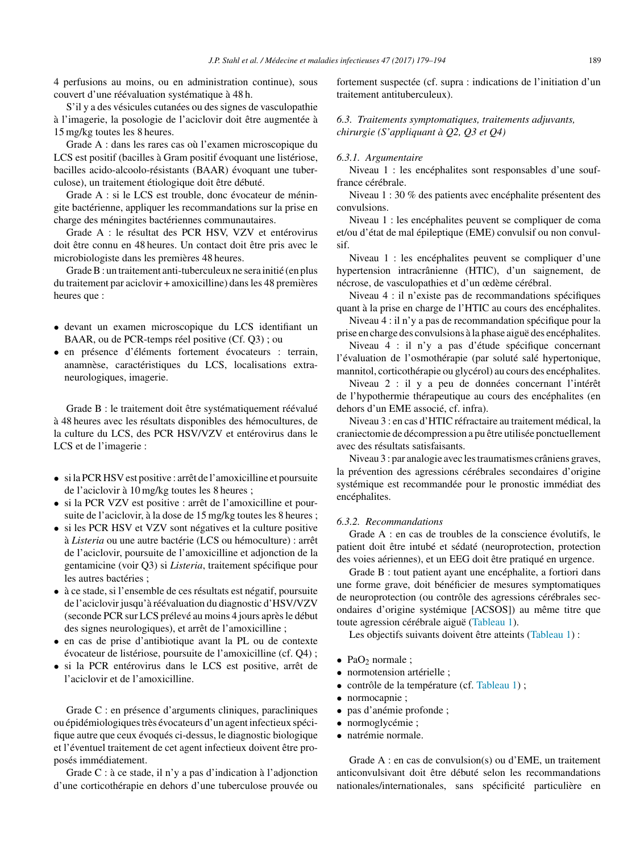4 perfusions au moins, ou en administration continue), sous couvert d'une réévaluation systématique à 48 h.

S'il y a des vésicules cutanées ou des signes de vasculopathie à l'imagerie, la posologie de l'aciclovir doit être augmentée à 15 mg/kg toutes les 8 heures.

Grade A : dans les rares cas où l'examen microscopique du LCS est positif (bacilles à Gram positif évoquant une listériose, bacilles acido-alcoolo-résistants (BAAR) évoquant une tuberculose), un traitement étiologique doit être débuté.

Grade A : si le LCS est trouble, donc évocateur de méningite bactérienne, appliquer les recommandations sur la prise en charge des méningites bactériennes communautaires.

Grade A : le résultat des PCR HSV, VZV et entérovirus doit être connu en 48 heures. Un contact doit être pris avec le microbiologiste dans les premières 48 heures.

GradeB: un traitement anti-tuberculeux ne sera initié (en plus du traitement par aciclovir + amoxicilline) dansles 48 premières heures que :

- devant un examen microscopique du LCS identifiant un BAAR, ou de PCR-temps réel positive (Cf. Q3) ; ou
- en présence d'éléments fortement évocateurs : terrain, anamnèse, caractéristiques du LCS, localisations extraneurologiques, imagerie.

Grade B : le traitement doit être systématiquement réévalué à 48 heures avec les résultats disponibles des hémocultures, de la culture du LCS, des PCR HSV/VZV et entérovirus dans le LCS et de l'imagerie :

- si la PCR HSV est positive : arrêt de l'amoxicilline et poursuite de l'aciclovir à 10 mg/kg toutes les 8 heures ;
- si la PCR VZV est positive : arrêt de l'amoxicilline et poursuite de l'aciclovir, à la dose de 15 mg/kg toutes les 8 heures ;
- si les PCR HSV et VZV sont négatives et la culture positive à *Listeria* ou une autre bactérie (LCS ou hémoculture) : arrêt de l'aciclovir, poursuite de l'amoxicilline et adjonction de la gentamicine (voir Q3) si *Listeria*, traitement spécifique pour les autres bactéries ;
- à ce stade, si l'ensemble de ces résultats est négatif, poursuite de l'aciclovir jusqu'à réévaluation du diagnostic d'HSV/VZV (seconde PCR sur LCS prélevé au moins 4 jours aprèsle début des signes neurologiques), et arrêt de l'amoxicilline ;
- en cas de prise d'antibiotique avant la PL ou de contexte évocateur de listériose, poursuite de l'amoxicilline (cf. Q4) ;
- si la PCR entérovirus dans le LCS est positive, arrêt de l'aciclovir et de l'amoxicilline.

Grade C : en présence d'arguments cliniques, paracliniques ou épidémiologiquestrès évocateurs d'un agent infectieux spécifique autre que ceux évoqués ci-dessus, le diagnostic biologique et l'éventuel traitement de cet agent infectieux doivent être proposés immédiatement.

Grade C : à ce stade, il n'y a pas d'indication à l'adjonction d'une corticothérapie en dehors d'une tuberculose prouvée ou

fortement suspectée (cf. supra : indications de l'initiation d'un traitement antituberculeux).

*6.3. Traitements symptomatiques, traitements adjuvants, chirurgie (S'appliquant à Q2, Q3 et Q4)*

#### *6.3.1. Argumentaire*

Niveau 1 : les encéphalites sont responsables d'une souffrance cérébrale.

Niveau 1 : 30 % des patients avec encéphalite présentent des convulsions.

Niveau 1 : les encéphalites peuvent se compliquer de coma et/ou d'état de mal épileptique (EME) convulsif ou non convulsif.

Niveau 1 : les encéphalites peuvent se compliquer d'une hypertension intracrânienne (HTIC), d'un saignement, de nécrose, de vasculopathies et d'un œdème cérébral.

Niveau 4 : il n'existe pas de recommandations spécifiques quant à la prise en charge de l'HTIC au cours des encéphalites.

Niveau 4 : il n'y a pas de recommandation spécifique pour la prise en charge des convulsions à la phase aiguë des encéphalites.

Niveau 4 : il n'y a pas d'étude spécifique concernant l'évaluation de l'osmothérapie (par soluté salé hypertonique, mannitol, corticothérapie ou glycérol) au cours des encéphalites.

Niveau 2 : il y a peu de données concernant l'intérêt de l'hypothermie thérapeutique au cours des encéphalites (en dehors d'un EME associé, cf. infra).

Niveau 3 : en cas d'HTIC réfractaire au traitement médical, la craniectomie de décompression a pu être utilisée ponctuellement avec des résultats satisfaisants.

Niveau 3 : par analogie avec lestraumatismes crâniens graves, la prévention des agressions cérébrales secondaires d'origine systémique est recommandée pour le pronostic immédiat des encéphalites.

### *6.3.2. Recommandations*

Grade A : en cas de troubles de la conscience évolutifs, le patient doit être intubé et sédaté (neuroprotection, protection des voies aériennes), et un EEG doit être pratiqué en urgence.

Grade B : tout patient ayant une encéphalite, a fortiori dans une forme grave, doit bénéficier de mesures symptomatiques de neuroprotection (ou contrôle des agressions cérébrales secondaires d'origine systémique [ACSOS]) au même titre que toute agression cérébrale aiguë ([Tableau](#page-11-0) 1).

Les objectifs suivants doivent être atteints ([Tableau](#page-11-0) 1) :

- Pa $O_2$  normale ;
- normotension artérielle ;
- contrôle de la température (cf. [Tableau](#page-11-0) 1) ;
- normocapnie ;
- pas d'anémie profonde ;
- normoglycémie ;
- natrémie normale.

Grade A : en cas de convulsion(s) ou d'EME, un traitement anticonvulsivant doit être débuté selon les recommandations nationales/internationales, sans spécificité particulière en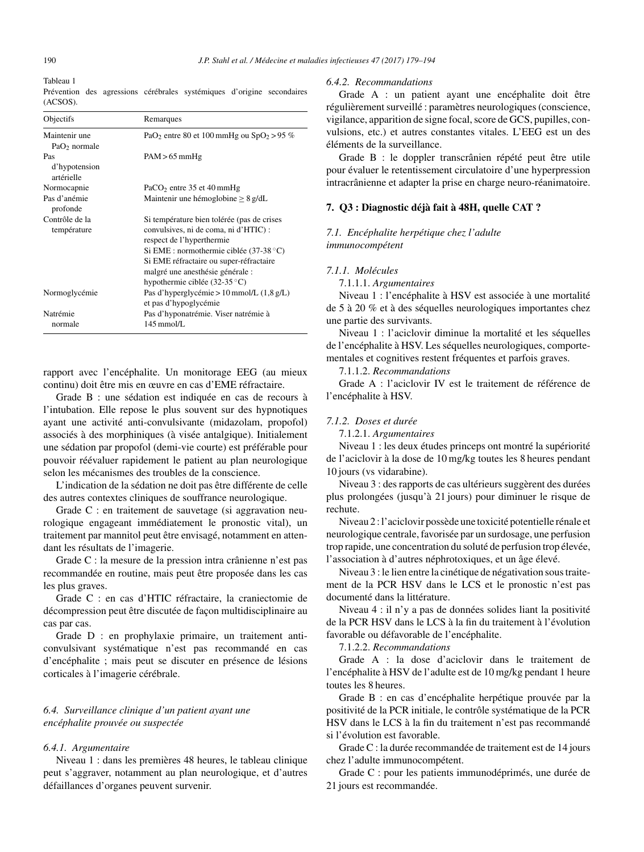<span id="page-11-0"></span>

# Tableau 1

|             |  | Prévention des agressions cérébrales systémiques d'origine secondaires |  |
|-------------|--|------------------------------------------------------------------------|--|
| $(ACSOS)$ . |  |                                                                        |  |

| Objectifs                                 | Remarques                                                                                                                                                                                                                                                                            |
|-------------------------------------------|--------------------------------------------------------------------------------------------------------------------------------------------------------------------------------------------------------------------------------------------------------------------------------------|
| Maintenir une<br>PaO <sub>2</sub> normale | PaO <sub>2</sub> entre 80 et 100 mmHg ou $SpO2 > 95$ %                                                                                                                                                                                                                               |
| Pas<br>d'hypotension<br>artérielle        | $PAM > 65$ mmHg                                                                                                                                                                                                                                                                      |
| Normocapnie                               | $PaCO2$ entre 35 et 40 mmHg                                                                                                                                                                                                                                                          |
| Pas d'anémie<br>profonde                  | Maintenir une hémoglobine $\geq 8$ g/dL                                                                                                                                                                                                                                              |
| Contrôle de la<br>température             | Si température bien tolérée (pas de crises<br>convulsives, ni de coma, ni d'HTIC) :<br>respect de l'hyperthermie<br>Si EME : normothermie ciblée $(37-38 \degree C)$<br>Si EME réfractaire ou super-réfractaire<br>malgré une anesthésie générale :<br>hypothermie ciblée (32-35 °C) |
| Normoglycémie                             | Pas d'hyperglycémie > 10 mmol/L $(1,8 \text{ g/L})$<br>et pas d'hypoglycémie                                                                                                                                                                                                         |
| Natrémie<br>normale                       | Pas d'hyponatrémie. Viser natrémie à<br>$145 \text{ mmol/L}$                                                                                                                                                                                                                         |

rapport avec l'encéphalite. Un monitorage EEG (au mieux continu) doit être mis en œuvre en cas d'EME réfractaire.

Grade B : une sédation est indiquée en cas de recours à l'intubation. Elle repose le plus souvent sur des hypnotiques ayant une activité anti-convulsivante (midazolam, propofol) associés à des morphiniques (à visée antalgique). Initialement une sédation par propofol (demi-vie courte) est préférable pour pouvoir réévaluer rapidement le patient au plan neurologique selon les mécanismes des troubles de la conscience.

L'indication de la sédation ne doit pas être différente de celle des autres contextes cliniques de souffrance neurologique.

Grade C : en traitement de sauvetage (si aggravation neurologique engageant immédiatement le pronostic vital), un traitement par mannitol peut être envisagé, notamment en attendant les résultats de l'imagerie.

Grade C : la mesure de la pression intra crânienne n'est pas recommandée en routine, mais peut être proposée dans les cas les plus graves.

Grade C : en cas d'HTIC réfractaire, la craniectomie de décompression peut être discutée de façon multidisciplinaire au cas par cas.

Grade D : en prophylaxie primaire, un traitement anticonvulsivant systématique n'est pas recommandé en cas d'encéphalite ; mais peut se discuter en présence de lésions corticales à l'imagerie cérébrale.

### *6.4. Surveillance clinique d'un patient ayant une encéphalite prouvée ou suspectée*

#### *6.4.1. Argumentaire*

Niveau 1 : dans les premières 48 heures, le tableau clinique peut s'aggraver, notamment au plan neurologique, et d'autres défaillances d'organes peuvent survenir.

#### *6.4.2. Recommandations*

Grade A : un patient ayant une encéphalite doit être régulièrement surveillé : paramètres neurologiques (conscience, vigilance, apparition de signe focal, score de GCS, pupilles, convulsions, etc.) et autres constantes vitales. L'EEG est un des éléments de la surveillance.

Grade B : le doppler transcrânien répété peut être utile pour évaluer le retentissement circulatoire d'une hyperpression intracrânienne et adapter la prise en charge neuro-réanimatoire.

### **7. Q3 : Diagnostic déjà fait à 48H, quelle CAT ?**

### *7.1. Encéphalite herpétique chez l'adulte immunocompétent*

### *7.1.1. Molécules*

7.1.1.1. *Argumentaires*

Niveau 1 : l'encéphalite à HSV est associée à une mortalité de 5 à 20 % et à des séquelles neurologiques importantes chez une partie des survivants.

Niveau 1 : l'aciclovir diminue la mortalité et les séquelles de l'encéphalite à HSV. Les séquelles neurologiques, comportementales et cognitives restent fréquentes et parfois graves.

7.1.1.2. *Recommandations*

Grade A : l'aciclovir IV est le traitement de référence de l'encéphalite à HSV.

#### *7.1.2. Doses et durée*

7.1.2.1. *Argumentaires*

Niveau 1 : les deux études princeps ont montré la supériorité de l'aciclovir à la dose de 10 mg/kg toutes les 8 heures pendant 10 jours (vs vidarabine).

Niveau 3 : des rapports de cas ultérieurs suggèrent des durées plus prolongées (jusqu'à 21 jours) pour diminuer le risque de rechute.

Niveau 2 : l'aciclovir possède une toxicité potentielle rénale et neurologique centrale,favorisée par un surdosage, une perfusion trop rapide, une concentration du soluté de perfusion trop élevée, l'association à d'autres néphrotoxiques, et un âge élevé.

Niveau 3 : le lien entre la cinétique de négativation soustraitement de la PCR HSV dans le LCS et le pronostic n'est pas documenté dans la littérature.

Niveau 4 : il n'y a pas de données solides liant la positivité de la PCR HSV dans le LCS à la fin du traitement à l'évolution favorable ou défavorable de l'encéphalite.

7.1.2.2. *Recommandations*

Grade A : la dose d'aciclovir dans le traitement de l'encéphalite à HSV de l'adulte est de 10 mg/kg pendant 1 heure toutes les 8 heures.

Grade B : en cas d'encéphalite herpétique prouvée par la positivité de la PCR initiale, le contrôle systématique de la PCR HSV dans le LCS à la fin du traitement n'est pas recommandé si l'évolution est favorable.

Grade C : la durée recommandée de traitement est de 14 jours chez l'adulte immunocompétent.

Grade C : pour les patients immunodéprimés, une durée de 21 jours est recommandée.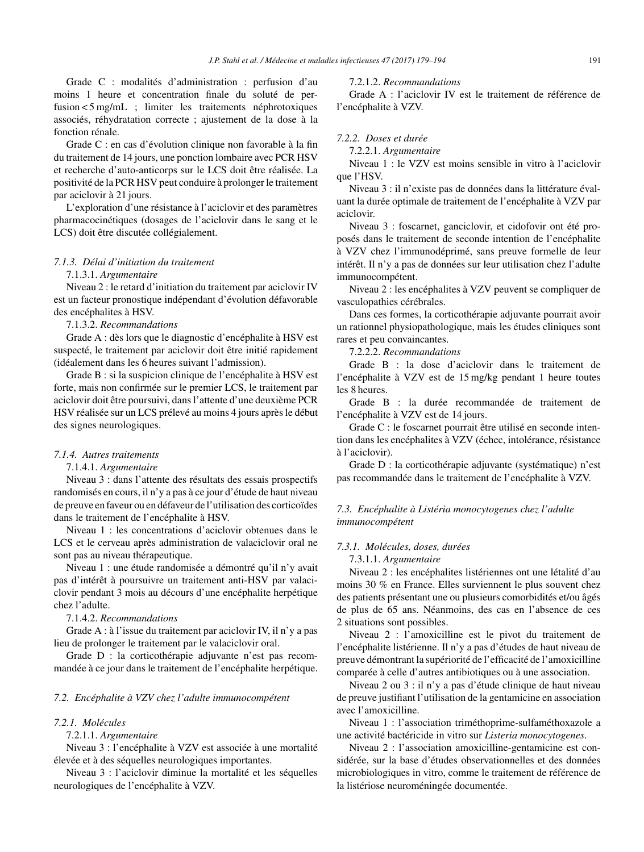Grade C : modalités d'administration : perfusion d'au moins 1 heure et concentration finale du soluté de perfusion < 5 mg/mL ; limiter les traitements néphrotoxiques associés, réhydratation correcte ; ajustement de la dose à la fonction rénale.

Grade C : en cas d'évolution clinique non favorable à la fin du traitement de 14 jours, une ponction lombaire avec PCR HSV et recherche d'auto-anticorps sur le LCS doit être réalisée. La positivité de la PCR HSV peut conduire à prolongerle traitement par aciclovir à 21 jours.

L'exploration d'une résistance à l'aciclovir et des paramètres pharmacocinétiques (dosages de l'aciclovir dans le sang et le LCS) doit être discutée collégialement.

### *7.1.3. Délai d'initiation du traitement*

### 7.1.3.1. *Argumentaire*

Niveau 2 : le retard d'initiation du traitement par aciclovir IV est un facteur pronostique indépendant d'évolution défavorable des encéphalites à HSV.

#### 7.1.3.2. *Recommandations*

Grade A : dès lors que le diagnostic d'encéphalite à HSV est suspecté, le traitement par aciclovir doit être initié rapidement (idéalement dans les 6 heures suivant l'admission).

Grade B : si la suspicion clinique de l'encéphalite à HSV est forte, mais non confirmée sur le premier LCS, le traitement par aciclovir doit être poursuivi, dansl'attente d'une deuxième PCR HSV réalisée sur un LCS prélevé au moins 4 jours aprèsle début des signes neurologiques.

#### *7.1.4. Autres traitements*

#### 7.1.4.1. *Argumentaire*

Niveau 3 : dans l'attente des résultats des essais prospectifs randomisés en cours, il n'y a pas à ce jour d'étude de haut niveau de preuve en faveur ou en défaveur de l'utilisation des corticoïdes dans le traitement de l'encéphalite à HSV.

Niveau 1 : les concentrations d'aciclovir obtenues dans le LCS et le cerveau après administration de valaciclovir oral ne sont pas au niveau thérapeutique.

Niveau 1 : une étude randomisée a démontré qu'il n'y avait pas d'intérêt à poursuivre un traitement anti-HSV par valaciclovir pendant 3 mois au décours d'une encéphalite herpétique chez l'adulte.

### 7.1.4.2. *Recommandations*

Grade A : à l'issue du traitement par aciclovir IV, il n'y a pas lieu de prolonger le traitement par le valaciclovir oral.

Grade D : la corticothérapie adjuvante n'est pas recommandée à ce jour dans le traitement de l'encéphalite herpétique.

#### *7.2. Encéphalite à VZV chez l'adulte immunocompétent*

#### *7.2.1. Molécules*

### 7.2.1.1. *Argumentaire*

Niveau 3 : l'encéphalite à VZV est associée à une mortalité élevée et à des séquelles neurologiques importantes.

Niveau 3 : l'aciclovir diminue la mortalité et les séquelles neurologiques de l'encéphalite à VZV.

7.2.1.2. *Recommandations*

Grade A : l'aciclovir IV est le traitement de référence de l'encéphalite à VZV.

#### *7.2.2. Doses et durée*

7.2.2.1. *Argumentaire*

Niveau 1 : le VZV est moins sensible in vitro à l'aciclovir que l'HSV.

Niveau 3 : il n'existe pas de données dans la littérature évaluant la durée optimale de traitement de l'encéphalite à VZV par aciclovir.

Niveau 3 : foscarnet, ganciclovir, et cidofovir ont été proposés dans le traitement de seconde intention de l'encéphalite à VZV chez l'immunodéprimé, sans preuve formelle de leur intérêt. Il n'y a pas de données sur leur utilisation chez l'adulte immunocompétent.

Niveau 2 : les encéphalites à VZV peuvent se compliquer de vasculopathies cérébrales.

Dans ces formes, la corticothérapie adjuvante pourrait avoir un rationnel physiopathologique, mais les études cliniques sont rares et peu convaincantes.

7.2.2.2. *Recommandations*

Grade B : la dose d'aciclovir dans le traitement de l'encéphalite à VZV est de 15 mg/kg pendant 1 heure toutes les 8 heures.

Grade B : la durée recommandée de traitement de l'encéphalite à VZV est de 14 jours.

Grade C : le foscarnet pourrait être utilisé en seconde intention dans les encéphalites à VZV (échec, intolérance, résistance à l'aciclovir).

Grade D : la corticothérapie adjuvante (systématique) n'est pas recommandée dans le traitement de l'encéphalite à VZV.

### *7.3. Encéphalite à Listéria monocytogenes chez l'adulte immunocompétent*

### *7.3.1. Molécules, doses, durées*

7.3.1.1. *Argumentaire*

Niveau 2 : les encéphalites listériennes ont une létalité d'au moins 30 % en France. Elles surviennent le plus souvent chez des patients présentant une ou plusieurs comorbidités et/ou âgés de plus de 65 ans. Néanmoins, des cas en l'absence de ces 2 situations sont possibles.

Niveau 2 : l'amoxicilline est le pivot du traitement de l'encéphalite listérienne. Il n'y a pas d'études de haut niveau de preuve démontrant la supériorité de l'efficacité de l'amoxicilline comparée à celle d'autres antibiotiques ou à une association.

Niveau 2 ou 3 : il n'y a pas d'étude clinique de haut niveau de preuve justifiant l'utilisation de la gentamicine en association avec l'amoxicilline.

Niveau 1 : l'association triméthoprime-sulfaméthoxazole a une activité bactéricide in vitro sur *Listeria monocytogenes*.

Niveau 2 : l'association amoxicilline-gentamicine est considérée, sur la base d'études observationnelles et des données microbiologiques in vitro, comme le traitement de référence de la listériose neuroméningée documentée.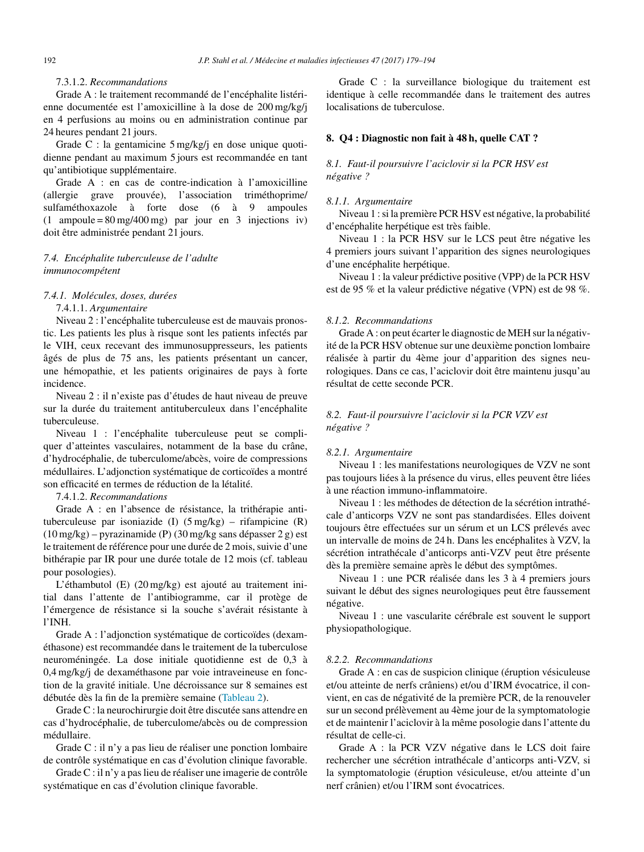### 7.3.1.2. *Recommandations*

Grade A : le traitement recommandé de l'encéphalite listérienne documentée est l'amoxicilline à la dose de 200 mg/kg/j en 4 perfusions au moins ou en administration continue par 24 heures pendant 21 jours.

Grade C : la gentamicine 5 mg/kg/j en dose unique quotidienne pendant au maximum 5 jours est recommandée en tant qu'antibiotique supplémentaire.

Grade A : en cas de contre-indication à l'amoxicilline (allergie grave prouvée), l'association triméthoprime/ sulfaméthoxazole à forte dose (6 à 9 ampoules (1 ampoule = 80 mg/400 mg) par jour en 3 injections iv) doit être administrée pendant 21 jours.

### *7.4. Encéphalite tuberculeuse de l'adulte immunocompétent*

#### *7.4.1. Molécules, doses, durées*

7.4.1.1. *Argumentaire*

Niveau 2 : l'encéphalite tuberculeuse est de mauvais pronostic. Les patients les plus à risque sont les patients infectés par le VIH, ceux recevant des immunosuppresseurs, les patients âgés de plus de 75 ans, les patients présentant un cancer, une hémopathie, et les patients originaires de pays à forte incidence.

Niveau 2 : il n'existe pas d'études de haut niveau de preuve sur la durée du traitement antituberculeux dans l'encéphalite tuberculeuse.

Niveau 1 : l'encéphalite tuberculeuse peut se compliquer d'atteintes vasculaires, notamment de la base du crâne, d'hydrocéphalie, de tuberculome/abcès, voire de compressions médullaires. L'adjonction systématique de corticoïdes a montré son efficacité en termes de réduction de la létalité.

### 7.4.1.2. *Recommandations*

Grade A : en l'absence de résistance, la trithérapie antituberculeuse par isoniazide (I) (5 mg/kg) – rifampicine (R) (10 mg/kg) – pyrazinamide (P) (30 mg/kg sans dépasser 2 g) est le traitement de référence pour une durée de 2 mois, suivie d'une bithérapie par IR pour une durée totale de 12 mois (cf. tableau pour posologies).

L'éthambutol (E) (20 mg/kg) est ajouté au traitement initial dans l'attente de l'antibiogramme, car il protège de l'émergence de résistance si la souche s'avérait résistante à l'INH.

Grade A : l'adjonction systématique de corticoïdes (dexaméthasone) est recommandée dans le traitement de la tuberculose neuroméningée. La dose initiale quotidienne est de 0,3 à 0,4 mg/kg/j de dexaméthasone par voie intraveineuse en fonction de la gravité initiale. Une décroissance sur 8 semaines est débutée dès la fin de la première semaine [\(Tableau](#page-14-0) 2).

Grade C : la neurochirurgie doit être discutée sans attendre en cas d'hydrocéphalie, de tuberculome/abcès ou de compression médullaire.

Grade C : il n'y a pas lieu de réaliser une ponction lombaire de contrôle systématique en cas d'évolution clinique favorable.

Grade C : il n'y a paslieu de réaliser une imagerie de contrôle systématique en cas d'évolution clinique favorable.

Grade C : la surveillance biologique du traitement est identique à celle recommandée dans le traitement des autres localisations de tuberculose.

### **8. Q4 : Diagnostic non fait à 48 h, quelle CAT ?**

### *8.1. Faut-il poursuivre l'aciclovir si la PCR HSV est négative ?*

#### *8.1.1. Argumentaire*

Niveau 1 :si la première PCR HSV est négative, la probabilité d'encéphalite herpétique est très faible.

Niveau 1 : la PCR HSV sur le LCS peut être négative les 4 premiers jours suivant l'apparition des signes neurologiques d'une encéphalite herpétique.

Niveau 1 : la valeur prédictive positive (VPP) de la PCR HSV est de 95 % et la valeur prédictive négative (VPN) est de 98 %.

#### *8.1.2. Recommandations*

Grade A : on peut écarter le diagnostic de MEH sur la négativité de la PCR HSV obtenue sur une deuxième ponction lombaire réalisée à partir du 4ème jour d'apparition des signes neurologiques. Dans ce cas, l'aciclovir doit être maintenu jusqu'au résultat de cette seconde PCR.

### *8.2. Faut-il poursuivre l'aciclovir si la PCR VZV est négative ?*

#### *8.2.1. Argumentaire*

Niveau 1 : les manifestations neurologiques de VZV ne sont pas toujours liées à la présence du virus, elles peuvent être liées à une réaction immuno-inflammatoire.

Niveau 1 : les méthodes de détection de la sécrétion intrathécale d'anticorps VZV ne sont pas standardisées. Elles doivent toujours être effectuées sur un sérum et un LCS prélevés avec un intervalle de moins de 24 h. Dans les encéphalites à VZV, la sécrétion intrathécale d'anticorps anti-VZV peut être présente dès la première semaine après le début des symptômes.

Niveau 1 : une PCR réalisée dans les 3 à 4 premiers jours suivant le début des signes neurologiques peut être faussement négative.

Niveau 1 : une vascularite cérébrale est souvent le support physiopathologique.

#### *8.2.2. Recommandations*

Grade A : en cas de suspicion clinique (éruption vésiculeuse et/ou atteinte de nerfs crâniens) et/ou d'IRM évocatrice, il convient, en cas de négativité de la première PCR, de la renouveler sur un second prélèvement au 4ème jour de la symptomatologie et de maintenir l'aciclovir à la même posologie dans l'attente du résultat de celle-ci.

Grade A : la PCR VZV négative dans le LCS doit faire rechercher une sécrétion intrathécale d'anticorps anti-VZV, si la symptomatologie (éruption vésiculeuse, et/ou atteinte d'un nerf crânien) et/ou l'IRM sont évocatrices.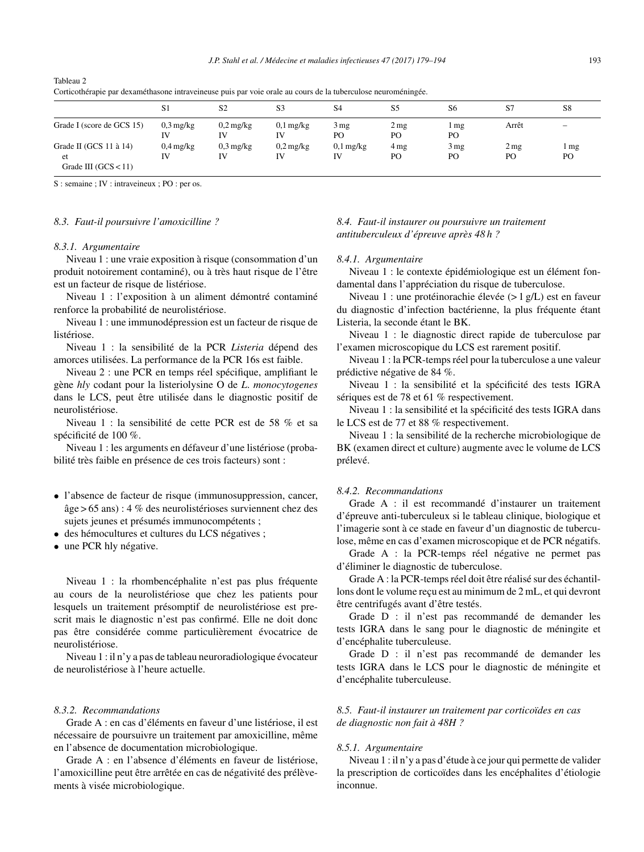|                                                                  | S <sub>1</sub>               | S <sub>2</sub>               | S <sub>3</sub>    | S <sub>4</sub>          | S <sub>5</sub>        | S <sub>6</sub>        | S7         | S <sub>8</sub>           |
|------------------------------------------------------------------|------------------------------|------------------------------|-------------------|-------------------------|-----------------------|-----------------------|------------|--------------------------|
| Grade I (score de GCS 15)                                        | $0.3 \,\mathrm{mg/kg}$<br>IV | $0.2 \,\mathrm{mg/kg}$<br>IV | $0,1$ mg/kg<br>IV | $3 \,\mathrm{mg}$<br>PO | 2 <sub>mg</sub><br>PO | mg<br>PO              | Arrêt      | $\overline{\phantom{m}}$ |
| Grade II (GCS 11 $\grave{a}$ 14)<br>et<br>Grade III $(GCS < 11)$ | $0.4$ mg/kg<br>IV            | $0.3 \,\mathrm{mg/kg}$<br>IV | $0,2$ mg/kg<br>IV | $0,1$ mg/kg<br>IV       | 4 mg<br>PO            | 3 <sub>mg</sub><br>PO | 2 mg<br>PO | 1 mg<br>PO               |

<span id="page-14-0"></span>Tableau 2 Corticothérapie par dexaméthasone intraveineuse puis par voie orale au cours de la tuberculose neuroméningée.

S : semaine ; IV : intraveineux ; PO : per os.

#### *8.3. Faut-il poursuivre l'amoxicilline ?*

#### *8.3.1. Argumentaire*

Niveau 1 : une vraie exposition à risque (consommation d'un produit notoirement contaminé), ou à très haut risque de l'être est un facteur de risque de listériose.

Niveau 1 : l'exposition à un aliment démontré contaminé renforce la probabilité de neurolistériose.

Niveau 1 : une immunodépression est un facteur de risque de listériose.

Niveau 1 : la sensibilité de la PCR *Listeria* dépend des amorces utilisées. La performance de la PCR 16s est faible.

Niveau 2 : une PCR en temps réel spécifique, amplifiant le gène *hly* codant pour la listeriolysine O de *L*. *monocytogenes* dans le LCS, peut être utilisée dans le diagnostic positif de neurolistériose.

Niveau 1 : la sensibilité de cette PCR est de 58 % et sa spécificité de 100 %.

Niveau 1 : les arguments en défaveur d'une listériose (probabilité très faible en présence de ces trois facteurs) sont :

- l'absence de facteur de risque (immunosuppression, cancer, âge > 65 ans) : 4 % des neurolistérioses surviennent chez des sujets jeunes et présumés immunocompétents ;
- des hémocultures et cultures du LCS négatives ;

• une PCR hly négative.

Niveau 1 : la rhombencéphalite n'est pas plus fréquente au cours de la neurolistériose que chez les patients pour lesquels un traitement présomptif de neurolistériose est prescrit mais le diagnostic n'est pas confirmé. Elle ne doit donc pas être considérée comme particulièrement évocatrice de neurolistériose.

Niveau 1 : il n'y a pas de tableau neuroradiologique évocateur de neurolistériose à l'heure actuelle.

#### *8.3.2. Recommandations*

Grade A : en cas d'éléments en faveur d'une listériose, il est nécessaire de poursuivre un traitement par amoxicilline, même en l'absence de documentation microbiologique.

Grade A : en l'absence d'éléments en faveur de listériose, l'amoxicilline peut être arrêtée en cas de négativité des prélèvements à visée microbiologique.

### *8.4. Faut-il instaurer ou poursuivre un traitement antituberculeux d'épreuve après 48 h ?*

#### *8.4.1. Argumentaire*

Niveau 1 : le contexte épidémiologique est un élément fondamental dans l'appréciation du risque de tuberculose.

Niveau 1 : une protéinorachie élevée (> 1 g/L) est en faveur du diagnostic d'infection bactérienne, la plus fréquente étant Listeria, la seconde étant le BK.

Niveau 1 : le diagnostic direct rapide de tuberculose par l'examen microscopique du LCS est rarement positif.

Niveau 1 : la PCR-tempsréel pour la tuberculose a une valeur prédictive négative de 84 %.

Niveau 1 : la sensibilité et la spécificité des tests IGRA sériques est de 78 et 61 % respectivement.

Niveau 1 : la sensibilité et la spécificité des tests IGRA dans le LCS est de 77 et 88 % respectivement.

Niveau 1 : la sensibilité de la recherche microbiologique de BK (examen direct et culture) augmente avec le volume de LCS prélevé.

#### *8.4.2. Recommandations*

Grade A : il est recommandé d'instaurer un traitement d'épreuve anti-tuberculeux si le tableau clinique, biologique et l'imagerie sont à ce stade en faveur d'un diagnostic de tuberculose, même en cas d'examen microscopique et de PCR négatifs.

Grade A : la PCR-temps réel négative ne permet pas d'éliminer le diagnostic de tuberculose.

Grade A : la PCR-temps réel doit être réalisé sur des échantillons dont le volume reçu est au minimum de 2 mL, et qui devront être centrifugés avant d'être testés.

Grade D : il n'est pas recommandé de demander les tests IGRA dans le sang pour le diagnostic de méningite et d'encéphalite tuberculeuse.

Grade D : il n'est pas recommandé de demander les tests IGRA dans le LCS pour le diagnostic de méningite et d'encéphalite tuberculeuse.

### *8.5. Faut-il instaurer un traitement par corticoïdes en cas de diagnostic non fait à 48H ?*

#### *8.5.1. Argumentaire*

Niveau 1 : il n'y a pas d'étude à ce jour qui permette de valider la prescription de corticoïdes dans les encéphalites d'étiologie inconnue.